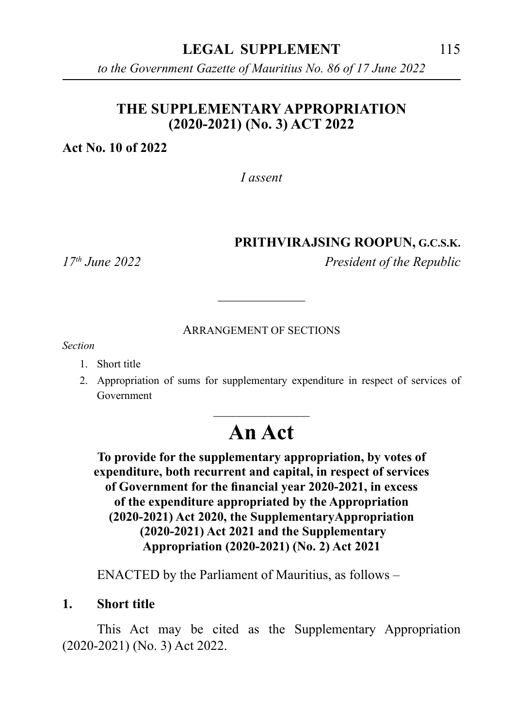*to the Government Gazette of Mauritius No. 86 of 17 June 2022*

## **THE SUPPLEMENTARY APPROPRIATION (2020-2021) (No. 3) ACT 2022**

**Act No. 10 of 2022**

*I assent*

### **PRITHVIRAJSING ROOPUN, G.C.S.K.**

*17th June 2022 President of the Republic*

#### ARRANGEMENT OF SECTIONS

\_\_\_\_\_\_\_\_\_\_\_\_\_

*Section*

- 1. Short title
- 2. Appropriation of sums for supplementary expenditure in respect of services of Government

# \_\_\_\_\_\_\_\_\_\_\_\_\_\_\_ **An Act**

**To provide for the supplementary appropriation, by votes of expenditure, both recurrent and capital, in respect of services of Government for the financial year 2020-2021, in excess of the expenditure appropriated by the Appropriation (2020-2021) Act 2020, the SupplementaryAppropriation (2020-2021) Act 2021 and the Supplementary Appropriation (2020-2021) (No. 2) Act 2021**

ENACTED by the Parliament of Mauritius, as follows –

**1. Short title**

This Act may be cited as the Supplementary Appropriation (2020-2021) (No. 3) Act 2022.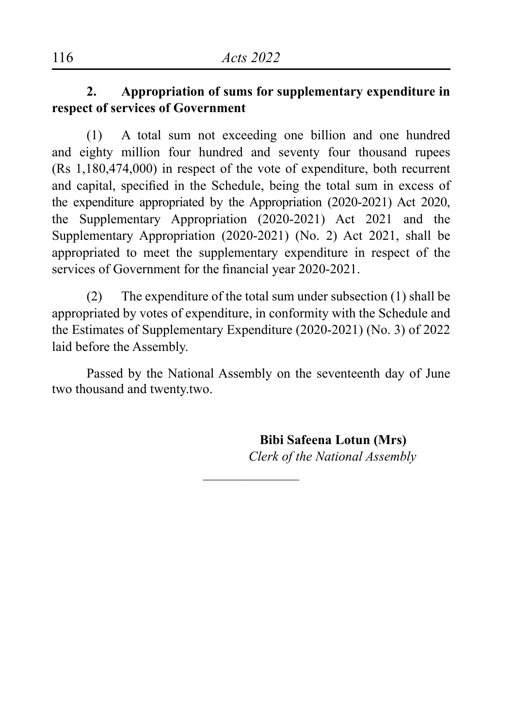# **2. Appropriation of sums for supplementary expenditure in respect of services of Government**

(1) A total sum not exceeding one billion and one hundred and eighty million four hundred and seventy four thousand rupees (Rs 1,180,474,000) in respect of the vote of expenditure, both recurrent and capital, specified in the Schedule, being the total sum in excess of the expenditure appropriated by the Appropriation (2020-2021) Act 2020, the Supplementary Appropriation (2020-2021) Act 2021 and the Supplementary Appropriation (2020-2021) (No. 2) Act 2021, shall be appropriated to meet the supplementary expenditure in respect of the services of Government for the financial year 2020-2021.

(2) The expenditure of the total sum under subsection (1) shall be appropriated by votes of expenditure, in conformity with the Schedule and the Estimates of Supplementary Expenditure (2020-2021) (No. 3) of 2022 laid before the Assembly.

Passed by the National Assembly on the seventeenth day of June two thousand and twenty.two.

 $\overline{\phantom{a}}$ 

 **Bibi Safeena Lotun (Mrs)** *Clerk of the National Assembly*